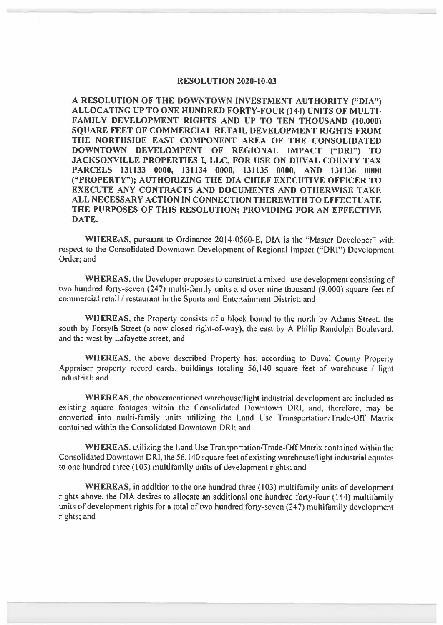## **RESOLUTION 2020-10-03**

**A RESOLUTION OF THE DOWNTOWN INVESTMENT AUTHORITY ("DIA") ALLOCATING UP TO ONE HUNDRED FORTY-FOUR (144) UNITS OF MULTI-FAMILY DEVELOPMENT RIGHTS AND UP TO TEN THOUSAND (10,000) SQUARE FEET OF COMMERCIAL RETAIL DEVELOPMENT RIGHTS FROM THE NORTHSIDE EAST COMPONENT AREA OF THE CONSOLIDATED DOWNTOWN DEVELOMPENT OF REGIONAL IMPACT ("ORI") TO JACKSONVILLE PROPERTIES** I, **LLC, FOR USE ON DUVAL COUNTY TAX PARCELS 131133 0000, 131134 0000, 131135 0000, AND 131136 0000 ("PROPERTY"); AUTHORIZING THE DIA CHIEF EXECUTIVE OFFICER TO EXECUTE ANY CONTRACTS AND DOCUMENTS AND OTHERWISE TAKE ALL NECESSARY ACTION IN CONNECTION THEREWITH TO EFFECTUATE THE PURPOSES OF THIS RESOLUTION; PROVIDING FOR AN EFFECTIVE DATE.** 

**WHEREAS,** pursuant to Ordinance 2014-0560-E, DIA is the "Master Developer" with respect to the Consolidated Downtown Development of Regional Impact ("DRI") Development Order; and

**WHEREAS,** the Developer proposes to construct a mixed- use development consisting of two hundred forty-seven (247) multi-family units and over nine thousand (9,000) square feet of commercial retail / restaurant in the Sports and Entertainment District; and

**WHEREAS,** the Property consists of a block bound to the north by Adams Street, the south by Forsyth Street (a now closed right-of-way), the east by A Philip Randolph Boulevard, and the west by Lafayette street; and

**WHEREAS,** the above described Property has, according to Duval County Property Appraiser property record cards, buildings totaling 56,140 square feet of warehouse / light industrial; and

**WHEREAS,** the abovementioned warehouse/I ight industrial development are included as existing square footages within the Consolidated Downtown DR!, and, therefore, may be converted into multi-family units utilizing the Land Use Transportation/Trade-Off Matrix contained within the Consolidated Downtown DRI; and

**WHEREAS,** utilizing the Land Use Transportationffrade-Off Matrix contained within the Consolidated Downtown ORI, the 56,140 square feet of existing warehouse/light industrial equates to one hundred three (103) multifamily units of development rights; and

**WHEREAS,** in addition to the one hundred three (103) multifamily units of development rights above, the DIA desires to allocate an additional one hundred forty-four ( 144) multifamily units of development rights for a total of two hundred forty-seven (247) multifamily development rights; and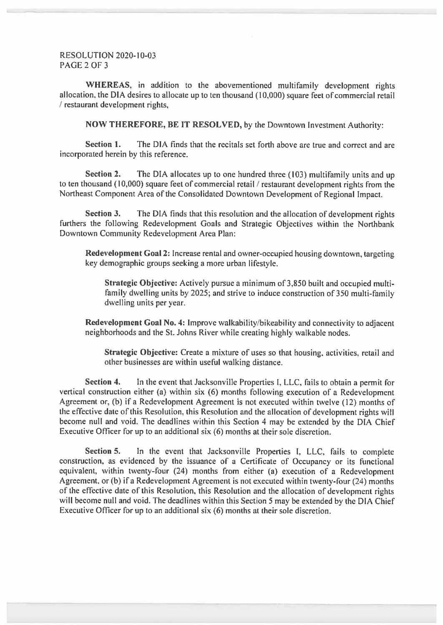## RESOLUTION 2020-10-03 PAGE 2 OF 3

**WHEREAS,** in addition to the abovementioned multifamily development rights allocation, the DIA desires to allocate up to ten thousand (10,000) square feet of commercial retail / restaurant development rights,

**NOW THEREFORE, BE IT RESOLVED,** by the Downtown Investment Authority:

**Section 1.** The DIA finds that the recitals set forth above are true and correct and are incorporated herein by this reference.

**Section 2.** The DIA allocates up to one hundred three (103) multifamily units and up to ten thousand (10,000) square feet of commercial retail / restaurant development rights from the Northeast Component Area of the Consolidated Downtown Development of Regional Impact.

**Section 3.** The DIA finds that this resolution and the allocation of development rights furthers the following Redevelopment Goals and Strategic Objectives within the Northbank Downtown Community Redevelopment Area Plan:

**Redevelopment Goal 2:** Increase rental and owner-occupied housing downtown, targeting key demographic groups seeking a more urban lifestyle.

**Strategic Objective:** Actively pursue a minimum of 3,850 built and occupied multifamily dwelling units by 2025; and strive to induce construction of 350 multi-family dwelling units per year.

**Redevelopment Goal No. 4:** Improve walkability/bikeability and connectivity to adjacent neighborhoods and the St. Johns River while creating highly walkable nodes.

**Strategic Objective:** Create a mixture of uses so that housing, activities, retail and other businesses are within useful walking distance.

**Section 4.** In the event that Jacksonville Properties I, LLC, fails to obtain a permit for vertical construction either (a) within six (6) months following execution of a Redevelopment Agreement or, (b) if a Redevelopment Agreement is not executed within twelve ( 12) months of the effective date of this Resolution, this Resolution and the allocation of development rights will become null and void. The deadlines within this Section 4 may be extended by the DIA Chief Executive Officer for up to an additional six (6) months at their sole discretion.

**Section 5.** In the event that Jacksonville Properties I, LLC, fails to complete construction, as evidenced by the issuance of a Certificate of Occupancy or its functional equivalent, within twenty-four (24) months from either (a) execution of a Redevelopment Agreement, or (b) if a Redevelopment Agreement is not executed within twenty-four (24) months of the effective date of this Resolution, this Resolution and the allocation of development rights will become null and void. The deadlines within this Section 5 may be extended by the DIA Chief Executive Officer for up to an additional six (6) months at their sole discretion.